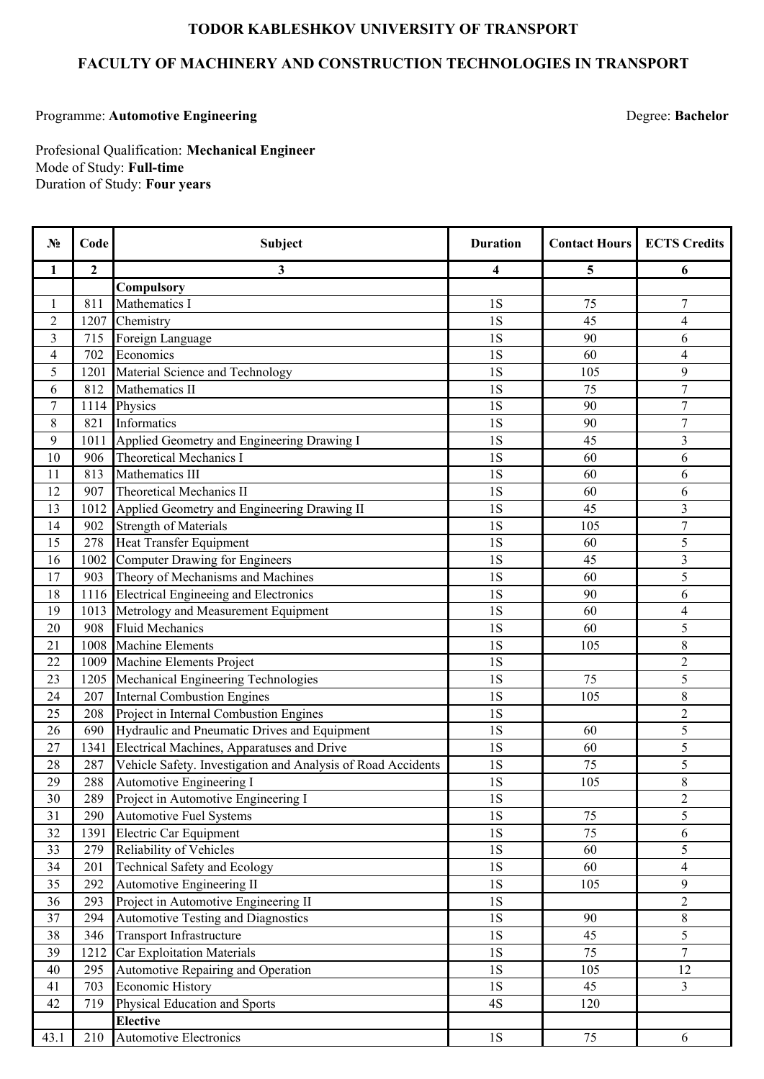## **TODOR KABLESHKOV UNIVERSITY OF TRANSPORT**

## **FACULTY OF MACHINERY AND CONSTRUCTION TECHNOLOGIES IN TRANSPORT**

## Programme: Automotive Engineering **Degree: Bachelor** Degree: Bachelor

Duration of Study: **Four years** Mode of Study: **Full-time** Profesional Qualification: **Mechanical Engineer**

| $N_2$            | Code         | <b>Subject</b>                                               | <b>Duration</b> | <b>Contact Hours</b> | <b>ECTS Credits</b> |
|------------------|--------------|--------------------------------------------------------------|-----------------|----------------------|---------------------|
| 1                | $\mathbf{2}$ | 3                                                            | 4               | 5                    | 6                   |
|                  |              | Compulsory                                                   |                 |                      |                     |
| 1                | 811          | Mathematics I                                                | 1S              | 75                   | $\overline{7}$      |
| $\overline{2}$   | 1207         | Chemistry                                                    | 1S              | 45                   | $\overline{4}$      |
| 3                | 715          | Foreign Language                                             | 1S              | 90                   | 6                   |
| $\overline{4}$   | 702          | Economics                                                    | 1S              | 60                   | $\overline{4}$      |
| 5                | 1201         | Material Science and Technology                              | 1S              | 105                  | 9                   |
| 6                | 812          | Mathematics II                                               | 1S              | 75                   | $\overline{7}$      |
| $\boldsymbol{7}$ | 1114         | Physics                                                      | 1S              | 90                   | $\overline{7}$      |
| 8                | 821          | Informatics                                                  | 1S              | 90                   | $\overline{7}$      |
| 9                | 1011         | Applied Geometry and Engineering Drawing I                   | 1S              | 45                   | 3                   |
| 10               | 906          | <b>Theoretical Mechanics I</b>                               | 1S              | 60                   | 6                   |
| 11               | 813          | Mathematics III                                              | 1S              | 60                   | 6                   |
| 12               | 907          | <b>Theoretical Mechanics II</b>                              | 1S              | 60                   | 6                   |
| 13               | 1012         | Applied Geometry and Engineering Drawing II                  | 1S              | 45                   | $\overline{3}$      |
| 14               | 902          | <b>Strength of Materials</b>                                 | 1S              | 105                  | $\overline{7}$      |
| 15               | 278          | <b>Heat Transfer Equipment</b>                               | 1S              | 60                   | 5                   |
| 16               | 1002         | Computer Drawing for Engineers                               | 1S              | 45                   | $\overline{3}$      |
| 17               | 903          | Theory of Mechanisms and Machines                            | 1S              | 60                   | 5                   |
| 18               | 1116         | <b>Electrical Engineeing and Electronics</b>                 | 1S              | 90                   | 6                   |
| 19               | 1013         | Metrology and Measurement Equipment                          | 1S              | 60                   | $\overline{4}$      |
| 20               | 908          | <b>Fluid Mechanics</b>                                       | 1S              | 60                   | 5                   |
| 21               | 1008         | <b>Machine Elements</b>                                      | 1S              | 105                  | 8                   |
| 22               | 1009         | Machine Elements Project                                     | 1S              |                      | $\overline{2}$      |
| 23               | 1205         | Mechanical Engineering Technologies                          | 1S              | 75                   | 5                   |
| 24               | 207          | <b>Internal Combustion Engines</b>                           | 1S              | 105                  | 8                   |
| 25               | 208          | Project in Internal Combustion Engines                       | 1S              |                      | $\overline{2}$      |
| 26               | 690          | Hydraulic and Pneumatic Drives and Equipment                 | 1S              | 60                   | 5                   |
| 27               | 1341         | Electrical Machines, Apparatuses and Drive                   | 1S              | 60                   | 5                   |
| 28               | 287          | Vehicle Safety. Investigation and Analysis of Road Accidents | 1S              | 75                   | 5                   |
| 29               | 288          | Automotive Engineering I                                     | 1S              | 105                  | 8                   |
| 30               | 289          | Project in Automotive Engineering I                          | 1S              |                      | $\mathfrak{D}$      |
| 31               | 290          | <b>Automotive Fuel Systems</b>                               | 1S              | 75                   | 5                   |
| 32               | 1391         | Electric Car Equipment                                       | 1S              | 75                   | 6                   |
| 33               | 279          | Reliability of Vehicles                                      | $1\mathrm{S}$   | 60                   | 5                   |
| 34               | 201          | <b>Technical Safety and Ecology</b>                          | 1S              | 60                   | $\overline{4}$      |
| 35               | 292          | Automotive Engineering II                                    | 1S              | 105                  | 9                   |
| 36               | 293          | Project in Automotive Engineering II                         | 1S              |                      | $\overline{2}$      |
| 37               | 294          | <b>Automotive Testing and Diagnostics</b>                    | 1S              | 90                   | $8\,$               |
| 38               | 346          | Transport Infrastructure                                     | $1\mathrm{S}$   | 45                   | $\overline{5}$      |
| 39               | 1212         | <b>Car Exploitation Materials</b>                            | 1S              | 75                   | $\boldsymbol{7}$    |
| 40               | 295          | Automotive Repairing and Operation                           | $1\mathrm{S}$   | 105                  | 12                  |
| 41               | 703          | <b>Economic History</b>                                      | $1S$            | 45                   | $\overline{3}$      |
| 42               | 719          | Physical Education and Sports                                | 4S              | 120                  |                     |
|                  |              | <b>Elective</b>                                              |                 |                      |                     |
| 43.1             | 210          | <b>Automotive Electronics</b>                                | 1S              | 75                   | 6                   |